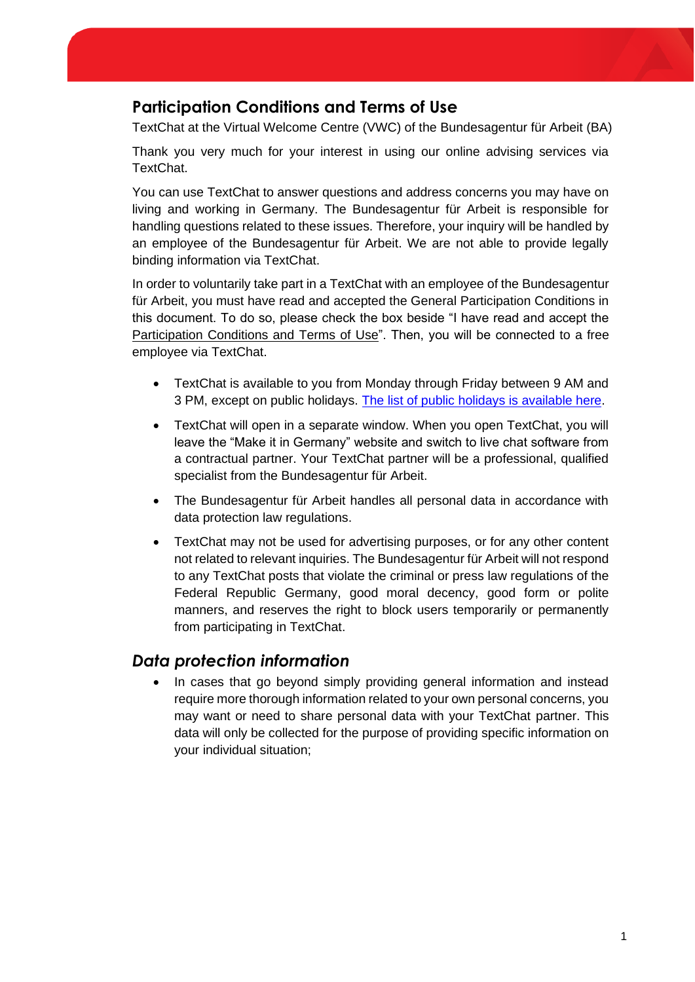## **Participation Conditions and Terms of Use**

TextChat at the Virtual Welcome Centre (VWC) of the Bundesagentur für Arbeit (BA)

Thank you very much for your interest in using our online advising services via TextChat.

You can use TextChat to answer questions and address concerns you may have on living and working in Germany. The Bundesagentur für Arbeit is responsible for handling questions related to these issues. Therefore, your inquiry will be handled by an employee of the Bundesagentur für Arbeit. We are not able to provide legally binding information via TextChat.

In order to voluntarily take part in a TextChat with an employee of the Bundesagentur für Arbeit, you must have read and accepted the General Participation Conditions in this document. To do so, please check the box beside "I have read and accept the Participation Conditions and Terms of Use". Then, you will be connected to a free employee via TextChat.

- TextChat is available to you from Monday through Friday between 9 AM and 3 PM, except on public holidays. [The list of](http://www.make-it-in-germany.com/de/fuer-fachkraefte/ueber-das-portal/kontakt/chat) [public holidays is available here.](http://www.make-it-in-germany.com/de/fuer-fachkraefte/ueber-das-portal/kontakt/chat)
- TextChat will open in a separate window. When you open TextChat, you will leave the "Make it in Germany" website and switch to live chat software from a contractual partner. Your TextChat partner will be a professional, qualified specialist from the Bundesagentur für Arbeit.
- The Bundesagentur für Arbeit handles all personal data in accordance with data protection law regulations.
- TextChat may not be used for advertising purposes, or for any other content not related to relevant inquiries. The Bundesagentur für Arbeit will not respond to any TextChat posts that violate the criminal or press law regulations of the Federal Republic Germany, good moral decency, good form or polite manners, and reserves the right to block users temporarily or permanently from participating in TextChat.

## *Data protection information*

• In cases that go beyond simply providing general information and instead require more thorough information related to your own personal concerns, you may want or need to share personal data with your TextChat partner. This data will only be collected for the purpose of providing specific information on your individual situation;